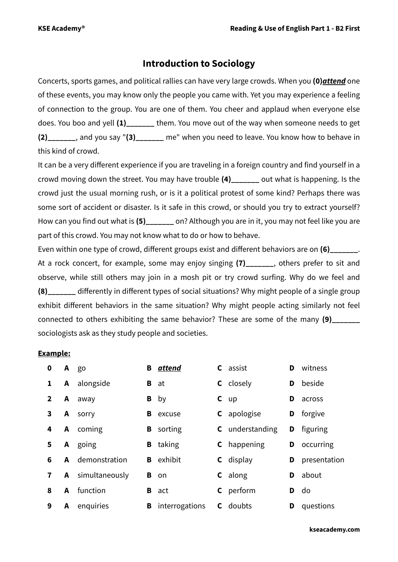# **Introduction to Sociology**

Concerts, sports games, and political rallies can have very large crowds. When you **(0)***attend* one of these events, you may know only the people you came with. Yet you may experience a feeling of connection to the group. You are one of them. You cheer and applaud when everyone else does. You boo and yell **(1)\_\_\_\_\_\_\_** them. You move out of the way when someone needs to get **(2)\_\_\_\_\_\_\_**, and you say "**(3)\_\_\_\_\_\_\_** me" when you need to leave. You know how to behave in this kind of crowd.

It can be a very different experience if you are traveling in a foreign country and find yourself in a crowd moving down the street. You may have trouble **(4)\_\_\_\_\_\_\_** out what is happening. Is the crowd just the usual morning rush, or is it a political protest of some kind? Perhaps there was some sort of accident or disaster. Is it safe in this crowd, or should you try to extract yourself? How can you find out what is (5) on? Although you are in it, you may not feel like you are part of this crowd. You may not know what to do or how to behave.

Even within one type of crowd, different groups exist and different behaviors are on **(6)** At a rock concert, for example, some may enjoy singing (7) and some feat to sit and observe, while still others may join in a mosh pit or try crowd surfing. Why do we feel and **(8)** differently in different types of social situations? Why might people of a single group exhibit different behaviors in the same situation? Why might people acting similarly not feel connected to others exhibiting the same behavior? These are some of the many **(9)\_\_\_\_\_\_\_** sociologists ask as they study people and societies.

# **Example:**

| 0            |   | A go                    |   | <b>B</b> attend  | <b>C</b> assist        | D | witness      |
|--------------|---|-------------------------|---|------------------|------------------------|---|--------------|
|              |   | A alongside             | B | at               | <b>C</b> closely       | D | beside       |
| $\mathbf{2}$ | A | away                    | B | by               | $c$ up                 | D | across       |
| 3            | A | sorry                   |   | <b>B</b> excuse  | <b>C</b> apologise     | D | forgive      |
| 4            |   | A coming                |   | <b>B</b> sorting | <b>C</b> understanding | D | figuring     |
| 5            |   | A going                 |   | <b>B</b> taking  | <b>C</b> happening     | D | occurring    |
| 6            |   | A demonstration         |   | <b>B</b> exhibit | <b>C</b> display       | D | presentation |
| 7            |   | <b>A</b> simultaneously |   | <b>B</b> on      | <b>C</b> along         | D | about        |
| 8            | A | function                |   | <b>B</b> act     | <b>C</b> perform       | D | do           |
| 9            | A | enquiries               | B | interrogations   | <b>C</b> doubts        | D | questions    |